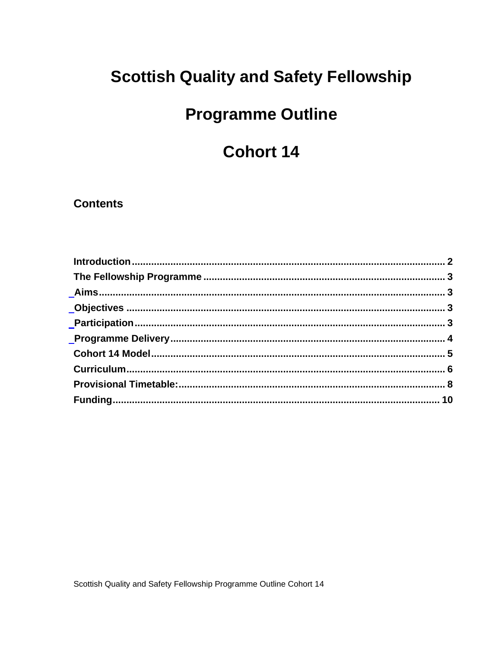## **Scottish Quality and Safety Fellowship**

# **Programme Outline**

## **Cohort 14**

#### **Contents**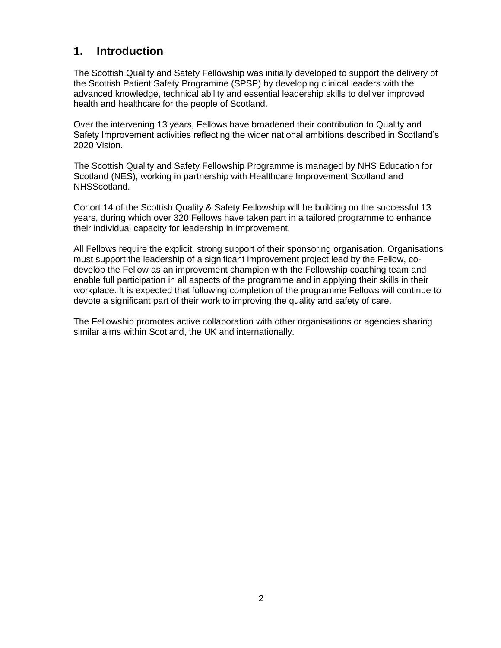### <span id="page-1-0"></span>**1. Introduction**

The Scottish Quality and Safety Fellowship was initially developed to support the delivery of the Scottish Patient Safety Programme (SPSP) by developing clinical leaders with the advanced knowledge, technical ability and essential leadership skills to deliver improved health and healthcare for the people of Scotland.

Over the intervening 13 years, Fellows have broadened their contribution to Quality and Safety Improvement activities reflecting the wider national ambitions described in Scotland's 2020 Vision.

The Scottish Quality and Safety Fellowship Programme is managed by NHS Education for Scotland (NES), working in partnership with Healthcare Improvement Scotland and NHSScotland.

Cohort 14 of the Scottish Quality & Safety Fellowship will be building on the successful 13 years, during which over 320 Fellows have taken part in a tailored programme to enhance their individual capacity for leadership in improvement.

All Fellows require the explicit, strong support of their sponsoring organisation. Organisations must support the leadership of a significant improvement project lead by the Fellow, codevelop the Fellow as an improvement champion with the Fellowship coaching team and enable full participation in all aspects of the programme and in applying their skills in their workplace. It is expected that following completion of the programme Fellows will continue to devote a significant part of their work to improving the quality and safety of care.

The Fellowship promotes active collaboration with other organisations or agencies sharing similar aims within Scotland, the UK and internationally.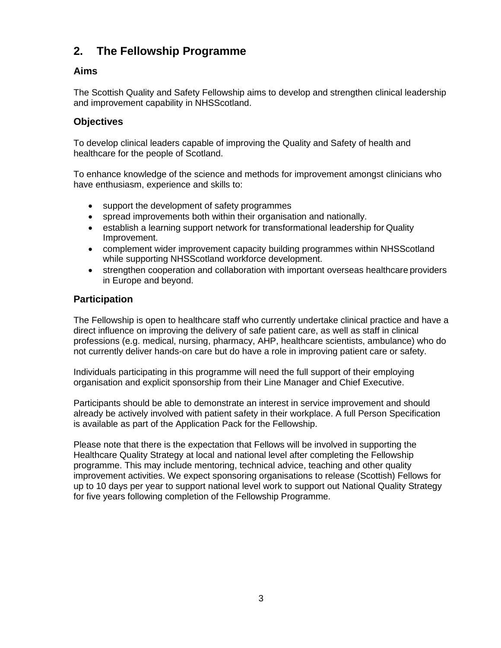### <span id="page-2-0"></span>**2. The Fellowship Programme**

#### <span id="page-2-1"></span>**Aims**

The Scottish Quality and Safety Fellowship aims to develop and strengthen clinical leadership and improvement capability in NHSScotland.

#### <span id="page-2-2"></span>**Objectives**

To develop clinical leaders capable of improving the Quality and Safety of health and healthcare for the people of Scotland.

To enhance knowledge of the science and methods for improvement amongst clinicians who have enthusiasm, experience and skills to:

- support the development of safety programmes
- spread improvements both within their organisation and nationally.
- establish a learning support network for transformational leadership for Quality Improvement.
- complement wider improvement capacity building programmes within NHSScotland while supporting NHSScotland workforce development.
- strengthen cooperation and collaboration with important overseas healthcare providers in Europe and beyond.

#### <span id="page-2-3"></span>**Participation**

The Fellowship is open to healthcare staff who currently undertake clinical practice and have a direct influence on improving the delivery of safe patient care, as well as staff in clinical professions (e.g. medical, nursing, pharmacy, AHP, healthcare scientists, ambulance) who do not currently deliver hands-on care but do have a role in improving patient care or safety.

Individuals participating in this programme will need the full support of their employing organisation and explicit sponsorship from their Line Manager and Chief Executive.

Participants should be able to demonstrate an interest in service improvement and should already be actively involved with patient safety in their workplace. A full Person Specification is available as part of the Application Pack for the Fellowship.

Please note that there is the expectation that Fellows will be involved in supporting the Healthcare Quality Strategy at local and national level after completing the Fellowship programme. This may include mentoring, technical advice, teaching and other quality improvement activities. We expect sponsoring organisations to release (Scottish) Fellows for up to 10 days per year to support national level work to support out National Quality Strategy for five years following completion of the Fellowship Programme.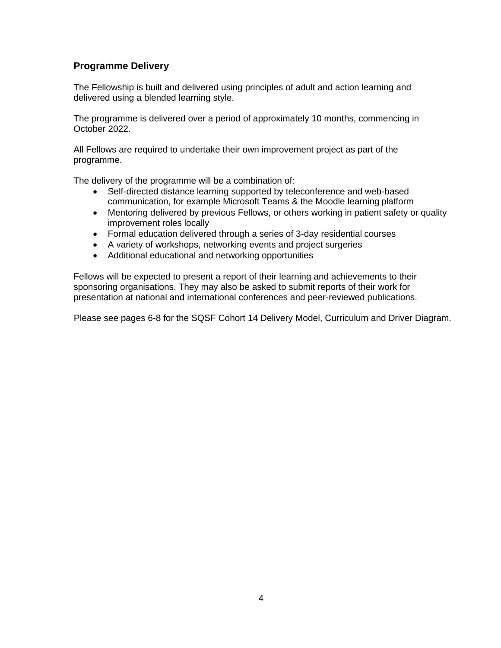#### <span id="page-3-0"></span>**Programme Delivery**

The Fellowship is built and delivered using principles of adult and action learning and delivered using a blended learning style.

The programme is delivered over a period of approximately 10 months, commencing in October 2022.

All Fellows are required to undertake their own improvement project as part of the programme.

The delivery of the programme will be a combination of:

- Self-directed distance learning supported by teleconference and web-based communication, for example Microsoft Teams & the Moodle learning platform
- Mentoring delivered by previous Fellows, or others working in patient safety or quality improvement roles locally
- Formal education delivered through a series of 3-day residential courses
- A variety of workshops, networking events and project surgeries
- Additional educational and networking opportunities

Fellows will be expected to present a report of their learning and achievements to their sponsoring organisations. They may also be asked to submit reports of their work for presentation at national and international conferences and peer-reviewed publications.

Please see pages 6-8 for the SQSF Cohort 14 Delivery Model, Curriculum and Driver Diagram.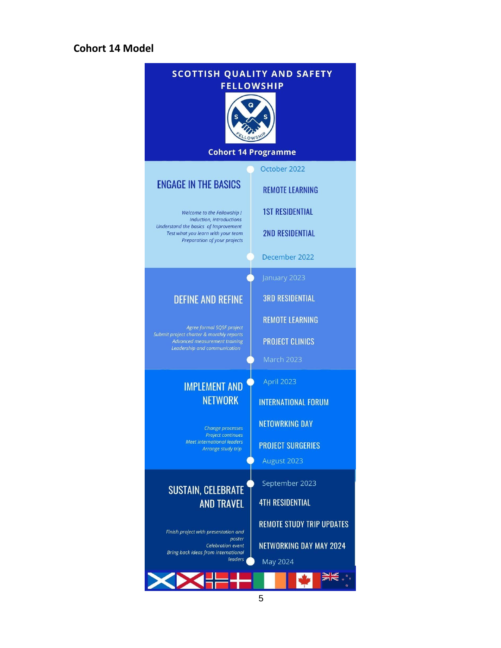#### <span id="page-4-0"></span>**Cohort 14 Model**

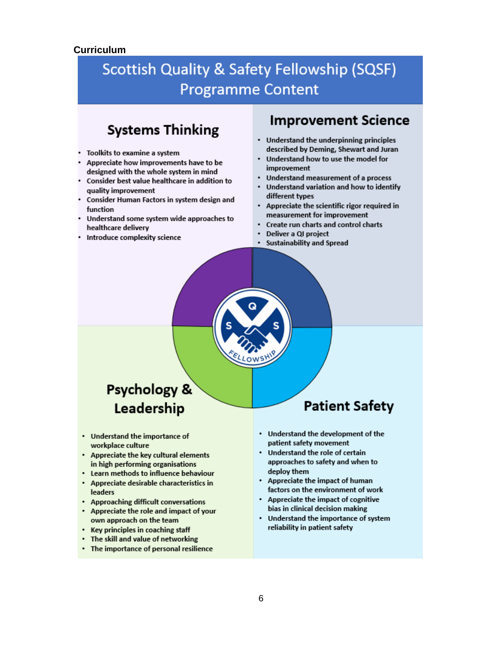#### <span id="page-5-0"></span>**Curriculum**

## **Scottish Quality & Safety Fellowship (SQSF) Programme Content**

## **Systems Thinking**

- Toolkits to examine a system
- Appreciate how improvements have to be designed with the whole system in mind
- Consider best value healthcare in addition to quality improvement
- Consider Human Factors in system design and function
- Understand some system wide approaches to healthcare delivery
- Introduce complexity science

### **Improvement Science**

- Understand the underpinning principles described by Deming, Shewart and Juran
- $\cdot$ Understand how to use the model for improvement
- Understand measurement of a process
- Understand variation and how to identify different types
- Appreciate the scientific rigor required in measurement for improvement
- Create run charts and control charts
- Deliver a QI project
- · Sustainability and Spread

## **Psychology &** Leadership

- Understand the importance of workplace culture
- Appreciate the key cultural elements in high performing organisations
- Learn methods to influence behaviour
- Appreciate desirable characteristics in **leaders**
- Approaching difficult conversations
- Appreciate the role and impact of your own approach on the team
- Key principles in coaching staff
- The skill and value of networking
- The importance of personal resilience

## **Patient Safety**

- Understand the development of the patient safety movement
- Understand the role of certain approaches to safety and when to deploy them
- Appreciate the impact of human factors on the environment of work
- Appreciate the impact of cognitive bias in clinical decision making
- Understand the importance of system reliability in patient safety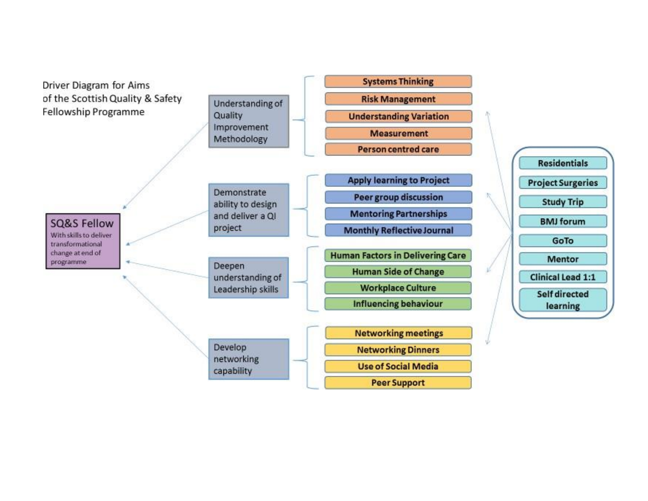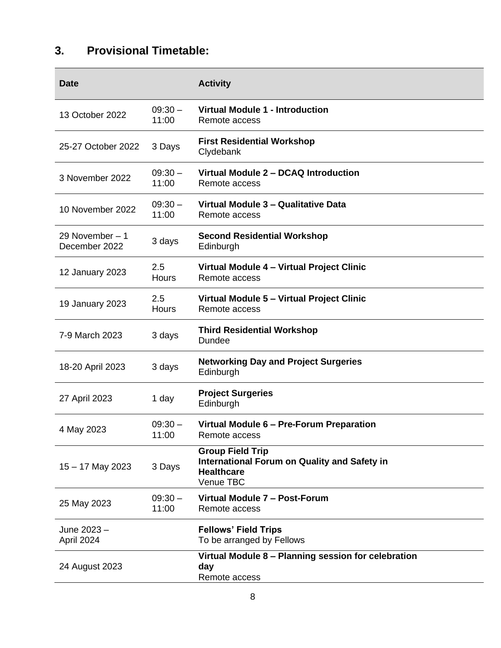## <span id="page-7-0"></span>**3. Provisional Timetable:**

| <b>Date</b>                       |                    | <b>Activity</b>                                                                                           |
|-----------------------------------|--------------------|-----------------------------------------------------------------------------------------------------------|
| 13 October 2022                   | $09:30 -$<br>11:00 | <b>Virtual Module 1 - Introduction</b><br>Remote access                                                   |
| 25-27 October 2022                | 3 Days             | <b>First Residential Workshop</b><br>Clydebank                                                            |
| 3 November 2022                   | $09:30 -$<br>11:00 | Virtual Module 2 - DCAQ Introduction<br>Remote access                                                     |
| 10 November 2022                  | $09:30 -$<br>11:00 | Virtual Module 3 - Qualitative Data<br>Remote access                                                      |
| 29 November $-1$<br>December 2022 | 3 days             | <b>Second Residential Workshop</b><br>Edinburgh                                                           |
| 12 January 2023                   | 2.5<br>Hours       | Virtual Module 4 - Virtual Project Clinic<br>Remote access                                                |
| 19 January 2023                   | 2.5<br>Hours       | Virtual Module 5 - Virtual Project Clinic<br>Remote access                                                |
| 7-9 March 2023                    | 3 days             | <b>Third Residential Workshop</b><br>Dundee                                                               |
| 18-20 April 2023                  | 3 days             | <b>Networking Day and Project Surgeries</b><br>Edinburgh                                                  |
| 27 April 2023                     | 1 day              | <b>Project Surgeries</b><br>Edinburgh                                                                     |
| 4 May 2023                        | $09:30 -$<br>11:00 | Virtual Module 6 - Pre-Forum Preparation<br>Remote access                                                 |
| 15 - 17 May 2023                  | 3 Days             | <b>Group Field Trip</b><br>International Forum on Quality and Safety in<br><b>Healthcare</b><br>Venue TBC |
| 25 May 2023                       | $09:30 -$<br>11:00 | Virtual Module 7 - Post-Forum<br>Remote access                                                            |
| June 2023 -<br>April 2024         |                    | <b>Fellows' Field Trips</b><br>To be arranged by Fellows                                                  |
| 24 August 2023                    |                    | Virtual Module 8 - Planning session for celebration<br>day<br>Remote access                               |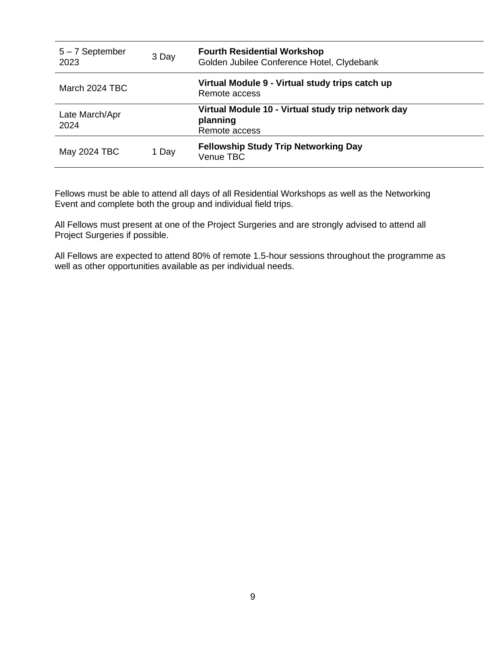| $5 - 7$ September<br>2023 | 3 Day | <b>Fourth Residential Workshop</b><br>Golden Jubilee Conference Hotel, Clydebank |
|---------------------------|-------|----------------------------------------------------------------------------------|
| March 2024 TBC            |       | Virtual Module 9 - Virtual study trips catch up<br>Remote access                 |
| Late March/Apr<br>2024    |       | Virtual Module 10 - Virtual study trip network day<br>planning<br>Remote access  |
| May 2024 TBC              | 1 Day | <b>Fellowship Study Trip Networking Day</b><br>Venue TBC                         |

Fellows must be able to attend all days of all Residential Workshops as well as the Networking Event and complete both the group and individual field trips.

All Fellows must present at one of the Project Surgeries and are strongly advised to attend all Project Surgeries if possible.

All Fellows are expected to attend 80% of remote 1.5-hour sessions throughout the programme as well as other opportunities available as per individual needs.